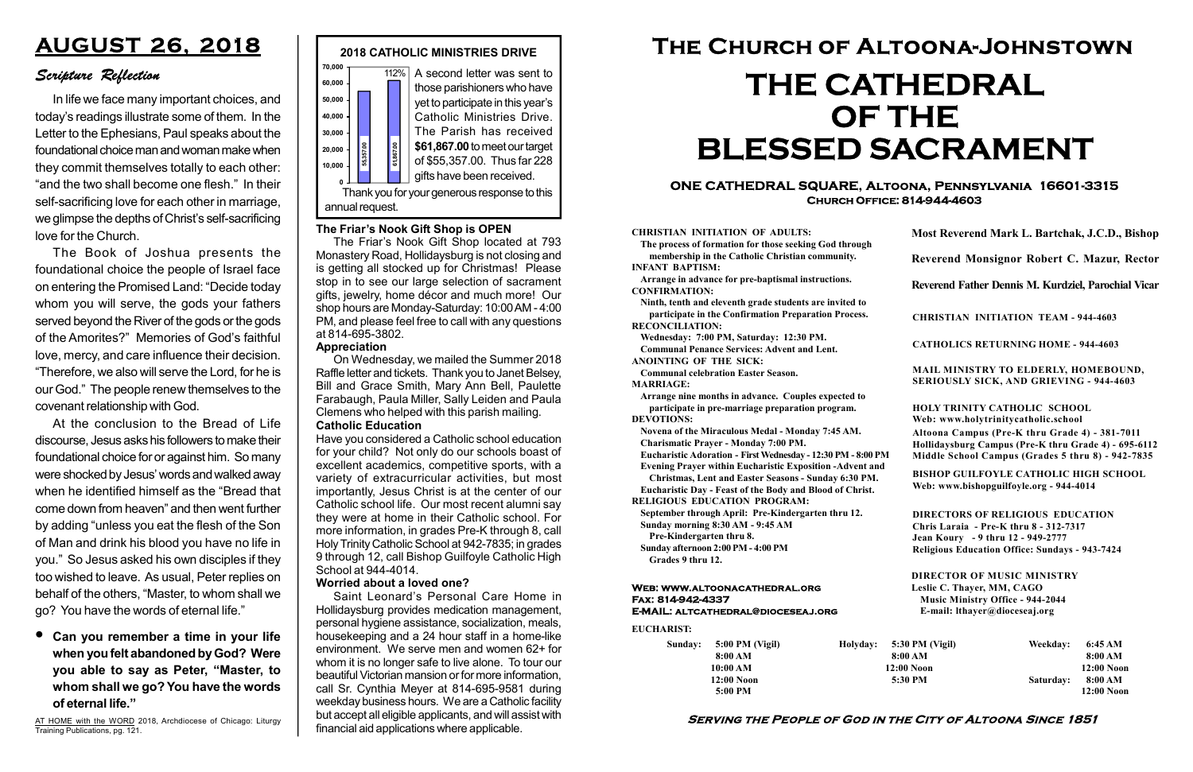#### Serving the People of God in the City of Altoona Since 1851

Sunday: 5:00 PM (Vigil) 8:00 AM 10:00 AM 12:00 Noon 5:00 PM

Holyday:

#### Web: www.altoonacathedral.org Fax: 814-942-4337 E-MAIL: altcathedral@dioceseaj.org

EUCHARIST:

#### CHRISTIAN INITIATION OF ADULTS:

The process of formation for those seeking God through membership in the Catholic Christian community. INFANT BAPTISM:

Arrange in advance for pre-baptismal instructions. CONFIRMATION:

Ninth, tenth and eleventh grade students are invited to participate in the Confirmation Preparation Process. RECONCILIATION:

Wednesday: 7:00 PM, Saturday: 12:30 PM. Communal Penance Services: Advent and Lent.

ANOINTING OF THE SICK:

Communal celebration Easter Season. MARRIAGE:

Arrange nine months in advance. Couples expected to participate in pre-marriage preparation program. DEVOTIONS:

Novena of the Miraculous Medal - Monday 7:45 AM.

Charismatic Prayer - Monday 7:00 PM.

Eucharistic Adoration - First Wednesday - 12:30 PM - 8:00 PM

Evening Prayer within Eucharistic Exposition -Advent and

Christmas, Lent and Easter Seasons - Sunday 6:30 PM. Eucharistic Day - Feast of the Body and Blood of Christ.

|                         | Most Reverend Mark L. Bartchak, J.C.D., Bishop<br>Reverend Monsignor Robert C. Mazur, Rector                                                                                    |           |                         |
|-------------------------|---------------------------------------------------------------------------------------------------------------------------------------------------------------------------------|-----------|-------------------------|
|                         |                                                                                                                                                                                 |           |                         |
|                         | Reverend Father Dennis M. Kurdziel, Parochial Vicar                                                                                                                             |           |                         |
|                         | <b>CHRISTIAN INITIATION TEAM - 944-4603</b>                                                                                                                                     |           |                         |
|                         | <b>CATHOLICS RETURNING HOME - 944-4603</b>                                                                                                                                      |           |                         |
|                         | MAIL MINISTRY TO ELDERLY, HOMEBOUND,<br><b>SERIOUSLY SICK, AND GRIEVING - 944-4603</b>                                                                                          |           |                         |
|                         | <b>HOLY TRINITY CATHOLIC SCHOOL</b><br>Web: www.holytrinitycatholic.school                                                                                                      |           |                         |
| М                       | Altoona Campus (Pre-K thru Grade 4) - 381-7011<br>Hollidaysburg Campus (Pre-K thru Grade 4) - 695-6112<br>Middle School Campus (Grades 5 thru 8) - 942-7835                     |           |                         |
| ł                       | <b>BISHOP GUILFOYLE CATHOLIC HIGH SCHOOL</b><br>Web: www.bishopguilfoyle.org - 944-4014                                                                                         |           |                         |
|                         | <b>DIRECTORS OF RELIGIOUS EDUCATION</b><br>Chris Laraia - Pre-K thru 8 - 312-7317<br>Jean Koury - 9 thru 12 - 949-2777<br><b>Religious Education Office: Sundays - 943-7424</b> |           |                         |
|                         | <b>DIRECTOR OF MUSIC MINISTRY</b><br>Leslie C. Thayer, MM, CAGO<br><b>Music Ministry Office - 944-2044</b><br>E-mail: lthayer@dioceseaj.org                                     |           |                         |
| 5:30 PM (Vigil)         |                                                                                                                                                                                 | Weekday:  | 6:45 AM                 |
| 8:00 AM<br>$12:00$ Noon |                                                                                                                                                                                 |           | 8:00 AM<br>12:00 Noon   |
|                         | 5:30 PM                                                                                                                                                                         | Saturday: | 8:00 AM<br>$12:00$ Noon |
|                         |                                                                                                                                                                                 |           |                         |

RELIGIOUS EDUCATION PROGRAM:

September through April: Pre-Kindergarten thru 12. Sunday morning 8:30 AM - 9:45 AM



Pre-Kindergarten thru 8.

Sunday afternoon 2:00 PM - 4:00 PM Grades 9 thru 12.

#### ONE CATHEDRAL SQUARE, Altoona, Pennsylvania 16601-3315 Church Office: 814-944-4603

# The Church of Altoona-Johnstown THE CATHEDRAL OF THE BLESSED SACRAMENT

AT HOME with the WORD 2018, Archdiocese of Chicago: Liturgy Training Publications, pg. 121.

#### Catholic Education

Have you considered a Catholic school education for your child? Not only do our schools boast of excellent academics, competitive sports, with a variety of extracurricular activities, but most importantly, Jesus Christ is at the center of our Catholic school life. Our most recent alumni say they were at home in their Catholic school. For more information, in grades Pre-K through 8, call Holy Trinity Catholic School at 942-7835; in grades 9 through 12, call Bishop Guilfoyle Catholic High School at 944-4014.

#### Worried about a loved one?

Saint Leonard's Personal Care Home in Hollidaysburg provides medication management, personal hygiene assistance, socialization, meals, housekeeping and a 24 hour staff in a home-like environment. We serve men and women 62+ for whom it is no longer safe to live alone. To tour our beautiful Victorian mansion or for more information, call Sr. Cynthia Meyer at 814-695-9581 during weekday business hours. We are a Catholic facility but accept all eligible applicants, and will assist with financial aid applications where applicable.

## AUGUST 26, 2018

### Scripture Reflection

Can you remember a time in your life when you felt abandoned by God? Were you able to say as Peter, "Master, to whom shall we go? You have the words of eternal life."

In life we face many important choices, and today's readings illustrate some of them. In the Letter to the Ephesians, Paul speaks about the foundational choice man and woman make when they commit themselves totally to each other: "and the two shall become one flesh." In their self-sacrificing love for each other in marriage, we glimpse the depths of Christ's self-sacrificing love for the Church.

The Book of Joshua presents the foundational choice the people of Israel face on entering the Promised Land: "Decide today whom you will serve, the gods your fathers served beyond the River of the gods or the gods of the Amorites?" Memories of God's faithful love, mercy, and care influence their decision. "Therefore, we also will serve the Lord, for he is our God." The people renew themselves to the covenant relationship with God.

At the conclusion to the Bread of Life discourse, Jesus asks his followers to make their foundational choice for or against him. So many were shocked by Jesus' words and walked away when he identified himself as the "Bread that come down from heaven" and then went further by adding "unless you eat the flesh of the Son of Man and drink his blood you have no life in you." So Jesus asked his own disciples if they too wished to leave. As usual, Peter replies on behalf of the others, "Master, to whom shall we go? You have the words of eternal life."

#### The Friar's Nook Gift Shop is OPEN

The Friar's Nook Gift Shop located at 793 Monastery Road, Hollidaysburg is not closing and is getting all stocked up for Christmas! Please stop in to see our large selection of sacrament gifts, jewelry, home décor and much more! Our shop hours are Monday-Saturday: 10:00 AM - 4:00 PM, and please feel free to call with any questions at 814-695-3802.

#### Appreciation

On Wednesday, we mailed the Summer 2018 Raffle letter and tickets. Thank you to Janet Belsey, Bill and Grace Smith, Mary Ann Bell, Paulette Farabaugh, Paula Miller, Sally Leiden and Paula Clemens who helped with this parish mailing.